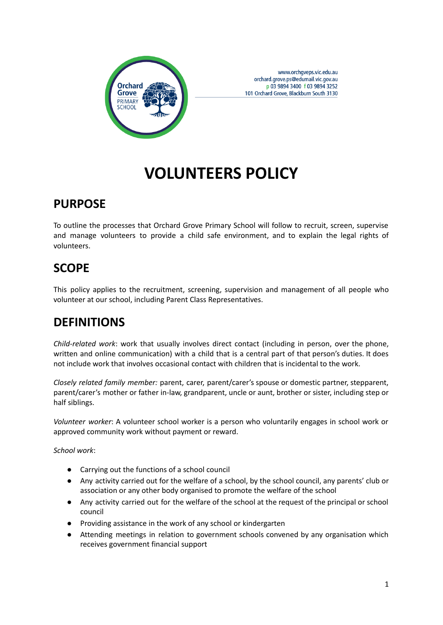

www.orchgveps.vic.edu.au orchard.grove.ps@edumail.vic.gov.au p 03 9894 3400 f 03 9894 3252 101 Orchard Grove, Blackburn South 3130

# **VOLUNTEERS POLICY**

### **PURPOSE**

To outline the processes that Orchard Grove Primary School will follow to recruit, screen, supervise and manage volunteers to provide a child safe environment, and to explain the legal rights of volunteers.

# **SCOPE**

This policy applies to the recruitment, screening, supervision and management of all people who volunteer at our school, including Parent Class Representatives.

## **DEFINITIONS**

*Child-related work*: work that usually involves direct contact (including in person, over the phone, written and online communication) with a child that is a central part of that person's duties. It does not include work that involves occasional contact with children that is incidental to the work.

*Closely related family member:* parent, carer, parent/carer's spouse or domestic partner, stepparent, parent/carer's mother or father in-law, grandparent, uncle or aunt, brother or sister, including step or half siblings.

*Volunteer worker*: A volunteer school worker is a person who voluntarily engages in school work or approved community work without payment or reward.

*School work*:

- Carrying out the functions of a school council
- Any activity carried out for the welfare of a school, by the school council, any parents' club or association or any other body organised to promote the welfare of the school
- Any activity carried out for the welfare of the school at the request of the principal or school council
- Providing assistance in the work of any school or kindergarten
- Attending meetings in relation to government schools convened by any organisation which receives government financial support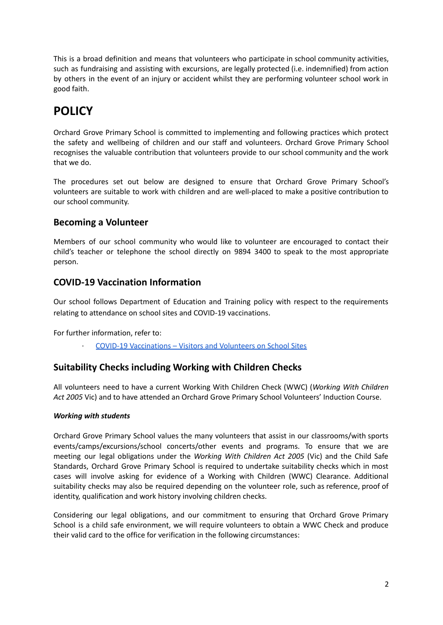This is a broad definition and means that volunteers who participate in school community activities, such as fundraising and assisting with excursions, are legally protected (i.e. indemnified) from action by others in the event of an injury or accident whilst they are performing volunteer school work in good faith.

# **POLICY**

Orchard Grove Primary School is committed to implementing and following practices which protect the safety and wellbeing of children and our staff and volunteers. Orchard Grove Primary School recognises the valuable contribution that volunteers provide to our school community and the work that we do.

The procedures set out below are designed to ensure that Orchard Grove Primary School's volunteers are suitable to work with children and are well-placed to make a positive contribution to our school community.

### **Becoming a Volunteer**

Members of our school community who would like to volunteer are encouraged to contact their child's teacher or telephone the school directly on 9894 3400 to speak to the most appropriate person.

### **COVID-19 Vaccination Information**

Our school follows Department of Education and Training policy with respect to the requirements relating to attendance on school sites and COVID-19 vaccinations.

For further information, refer to:

· COVID-19 [Vaccinations](https://www2.education.vic.gov.au/pal/covid-19-vaccinations-visitors-volunteers/policy) – Visitors and Volunteers on School Sites

### **Suitability Checks including Working with Children Checks**

All volunteers need to have a current Working With Children Check (WWC) (*Working With Children Act 2005* Vic) and to have attended an Orchard Grove Primary School Volunteers' Induction Course.

#### *Working with students*

Orchard Grove Primary School values the many volunteers that assist in our classrooms/with sports events/camps/excursions/school concerts/other events and programs. To ensure that we are meeting our legal obligations under the *Working With Children Act 2005* (Vic) and the Child Safe Standards, Orchard Grove Primary School is required to undertake suitability checks which in most cases will involve asking for evidence of a Working with Children (WWC) Clearance. Additional suitability checks may also be required depending on the volunteer role, such as reference, proof of identity, qualification and work history involving children checks.

Considering our legal obligations, and our commitment to ensuring that Orchard Grove Primary School is a child safe environment, we will require volunteers to obtain a WWC Check and produce their valid card to the office for verification in the following circumstances: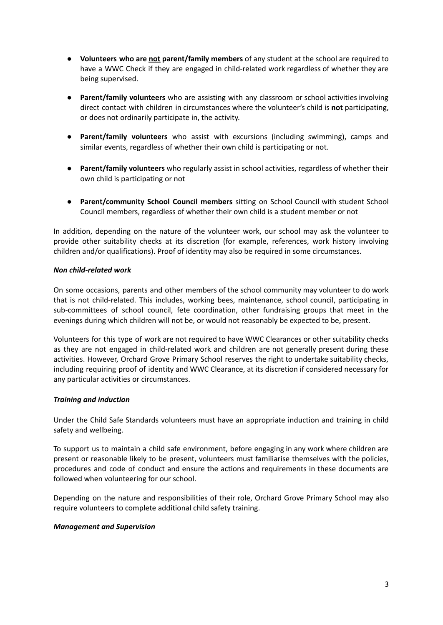- **Volunteers who are not parent/family members** of any student at the school are required to have a WWC Check if they are engaged in child-related work regardless of whether they are being supervised.
- **Parent/family volunteers** who are assisting with any classroom or school activities involving direct contact with children in circumstances where the volunteer's child is **not** participating, or does not ordinarily participate in, the activity.
- **Parent/family volunteers** who assist with excursions (including swimming), camps and similar events, regardless of whether their own child is participating or not.
- **Parent/family volunteers** who regularly assist in school activities, regardless of whether their own child is participating or not
- **Parent/community School Council members** sitting on School Council with student School Council members, regardless of whether their own child is a student member or not

In addition, depending on the nature of the volunteer work, our school may ask the volunteer to provide other suitability checks at its discretion (for example, references, work history involving children and/or qualifications). Proof of identity may also be required in some circumstances.

#### *Non child-related work*

On some occasions, parents and other members of the school community may volunteer to do work that is not child-related. This includes, working bees, maintenance, school council, participating in sub-committees of school council, fete coordination, other fundraising groups that meet in the evenings during which children will not be, or would not reasonably be expected to be, present.

Volunteers for this type of work are not required to have WWC Clearances or other suitability checks as they are not engaged in child-related work and children are not generally present during these activities. However, Orchard Grove Primary School reserves the right to undertake suitability checks, including requiring proof of identity and WWC Clearance, at its discretion if considered necessary for any particular activities or circumstances.

#### *Training and induction*

Under the Child Safe Standards volunteers must have an appropriate induction and training in child safety and wellbeing.

To support us to maintain a child safe environment, before engaging in any work where children are present or reasonable likely to be present, volunteers must familiarise themselves with the policies, procedures and code of conduct and ensure the actions and requirements in these documents are followed when volunteering for our school.

Depending on the nature and responsibilities of their role, Orchard Grove Primary School may also require volunteers to complete additional child safety training.

#### *Management and Supervision*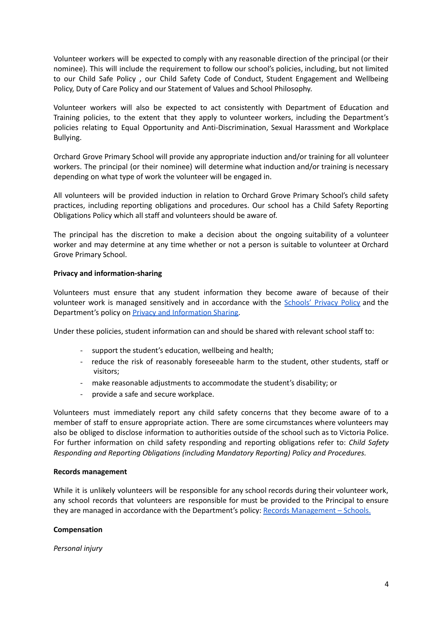Volunteer workers will be expected to comply with any reasonable direction of the principal (or their nominee). This will include the requirement to follow our school's policies, including, but not limited to our Child Safe Policy , our Child Safety Code of Conduct, Student Engagement and Wellbeing Policy, Duty of Care Policy and our Statement of Values and School Philosophy.

Volunteer workers will also be expected to act consistently with Department of Education and Training policies, to the extent that they apply to volunteer workers, including the Department's policies relating to Equal Opportunity and Anti-Discrimination, Sexual Harassment and Workplace Bullying.

Orchard Grove Primary School will provide any appropriate induction and/or training for all volunteer workers. The principal (or their nominee) will determine what induction and/or training is necessary depending on what type of work the volunteer will be engaged in.

All volunteers will be provided induction in relation to Orchard Grove Primary School's child safety practices, including reporting obligations and procedures. Our school has a Child Safety Reporting Obligations Policy which all staff and volunteers should be aware of.

The principal has the discretion to make a decision about the ongoing suitability of a volunteer worker and may determine at any time whether or not a person is suitable to volunteer at Orchard Grove Primary School.

#### **Privacy and information-sharing**

Volunteers must ensure that any student information they become aware of because of their volunteer work is managed sensitively and in accordance with the [Schools'](https://www.education.vic.gov.au/Pages/schoolsprivacypolicy.aspx) Privacy Policy and the Department's policy on Privacy and [Information](https://www2.education.vic.gov.au/pal/privacy-information-sharing/policy) Sharing.

Under these policies, student information can and should be shared with relevant school staff to:

- support the student's education, wellbeing and health;
- reduce the risk of reasonably foreseeable harm to the student, other students, staff or visitors;
- make reasonable adjustments to accommodate the student's disability; or
- provide a safe and secure workplace.

Volunteers must immediately report any child safety concerns that they become aware of to a member of staff to ensure appropriate action. There are some circumstances where volunteers may also be obliged to disclose information to authorities outside of the school such as to Victoria Police. For further information on child safety responding and reporting obligations refer to: *Child Safety Responding and Reporting Obligations (including Mandatory Reporting) Policy and Procedures.*

#### **Records management**

While it is unlikely volunteers will be responsible for any school records during their volunteer work, any school records that volunteers are responsible for must be provided to the Principal to ensure they are managed in accordance with the Department's policy: Records [Management](https://www2.education.vic.gov.au/pal/records-management/policy) – Schools.

#### **Compensation**

*Personal injury*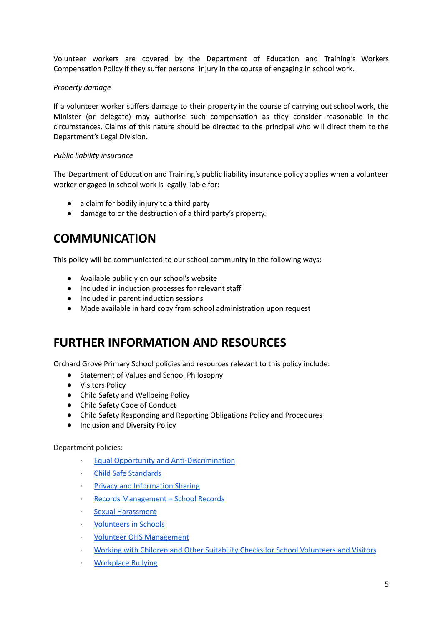Volunteer workers are covered by the Department of Education and Training's Workers Compensation Policy if they suffer personal injury in the course of engaging in school work.

#### *Property damage*

If a volunteer worker suffers damage to their property in the course of carrying out school work, the Minister (or delegate) may authorise such compensation as they consider reasonable in the circumstances. Claims of this nature should be directed to the principal who will direct them to the Department's Legal Division.

#### *Public liability insurance*

The Department of Education and Training's public liability insurance policy applies when a volunteer worker engaged in school work is legally liable for:

- a claim for bodily injury to a third party
- *●* damage to or the destruction of a third party's property.

### **COMMUNICATION**

This policy will be communicated to our school community in the following ways:

- Available publicly on our school's website
- Included in induction processes for relevant staff
- Included in parent induction sessions
- Made available in hard copy from school administration upon request

### **FURTHER INFORMATION AND RESOURCES**

Orchard Grove Primary School policies and resources relevant to this policy include:

- Statement of Values and School Philosophy
- Visitors Policy
- Child Safety and Wellbeing Policy
- Child Safety Code of Conduct
- Child Safety Responding and Reporting Obligations Policy and Procedures
- Inclusion and Diversity Policy

#### Department policies:

- · Equal Opportunity and [Anti-Discrimination](https://www2.education.vic.gov.au/pal/equal-opportunity/policy-and-guidelines)
- · Child Safe [Standards](https://www2.education.vic.gov.au/pal/child-safe-standards/policy)
- Privacy and [Information](https://www2.education.vic.gov.au/pal/privacy-information-sharing/policy) Sharing
- Records [Management](https://www2.education.vic.gov.au/pal/records-management/policy) School Records
- Sexual [Harassment](https://www2.education.vic.gov.au/pal/sexual-harassment/policy-and-guidelines)
- · [Volunteers](https://www2.education.vic.gov.au/pal/volunteers/policy) in Schools
- · Volunteer OHS [Management](https://www2.education.vic.gov.au/pal/volunteer-ohs-management/policy)
- · Working with Children and Other Suitability Checks for School [Volunteers](https://www2.education.vic.gov.au/pal/suitability-checks/policy) and Visitors
- · [Workplace](https://www2.education.vic.gov.au/pal/workplace-bullying/policy) Bullying